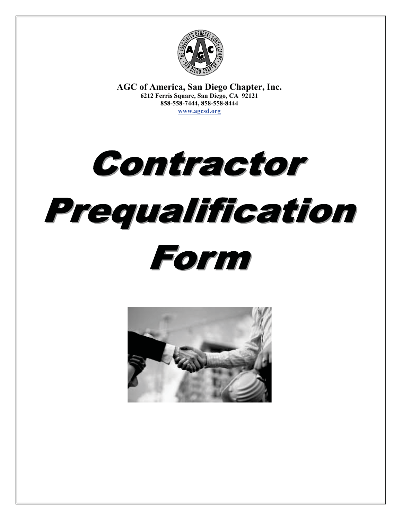

**AGC of America, San Diego Chapter, Inc. 6212 Ferris Square, San Diego, CA 92121 858-558-7444, 858-558-8444 www.agcsd.org**

Contractor Prequalification Form

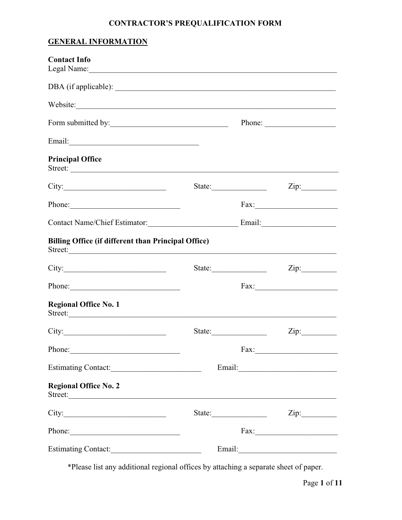# **CONTRACTOR'S PREQUALIFICATION FORM**

# **GENERAL INFORMATION**

| <b>Contact Info</b><br>Legal Name: 1988 Manner Communication of the Manner Communication of the Manner Communication of the Manner Communication of the Manner Communication of the Manner Communication of the Manner Communication of the Manner Co |        |                         |
|-------------------------------------------------------------------------------------------------------------------------------------------------------------------------------------------------------------------------------------------------------|--------|-------------------------|
|                                                                                                                                                                                                                                                       |        |                         |
| Website:                                                                                                                                                                                                                                              |        |                         |
| Form submitted by:                                                                                                                                                                                                                                    |        | Phone: $\qquad \qquad$  |
|                                                                                                                                                                                                                                                       |        |                         |
| <b>Principal Office</b><br>Street:                                                                                                                                                                                                                    |        |                         |
| City:                                                                                                                                                                                                                                                 | State: | Zip:                    |
| Phone:                                                                                                                                                                                                                                                |        |                         |
| Contact Name/Chief Estimator: Email: Email:                                                                                                                                                                                                           |        |                         |
| Billing Office (if different than Principal Office)<br>Street:                                                                                                                                                                                        |        |                         |
| City:                                                                                                                                                                                                                                                 |        | State: <u>Zip:</u> Zip: |
| Phone:                                                                                                                                                                                                                                                |        | Fax:                    |
| <b>Regional Office No. 1</b><br>Street:                                                                                                                                                                                                               |        |                         |
| City:                                                                                                                                                                                                                                                 | State: |                         |
| Phone:                                                                                                                                                                                                                                                |        |                         |
|                                                                                                                                                                                                                                                       |        |                         |
| <b>Regional Office No. 2</b><br>Street:                                                                                                                                                                                                               |        |                         |
| City:                                                                                                                                                                                                                                                 | State: |                         |
| Phone: 2008                                                                                                                                                                                                                                           |        |                         |
|                                                                                                                                                                                                                                                       |        |                         |

\*Please list any additional regional offices by attaching a separate sheet of paper.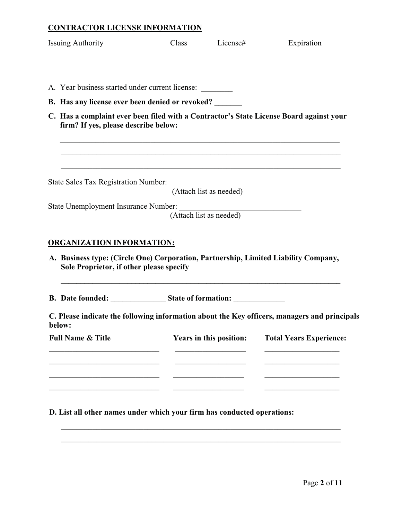## **CONTRACTOR LICENSE INFORMATION**

| <b>Issuing Authority</b><br><u> 1990 - Johann John Stone, mars et al. (</u>                                                                                             | Class License#          | Expiration                                                                                                       |
|-------------------------------------------------------------------------------------------------------------------------------------------------------------------------|-------------------------|------------------------------------------------------------------------------------------------------------------|
| <u> 2000 - Jan James James Jan James James James James James James James James James James James James James Jam</u><br>A. Year business started under current license: |                         |                                                                                                                  |
| <b>B.</b> Has any license ever been denied or revoked?                                                                                                                  |                         |                                                                                                                  |
| firm? If yes, please describe below:                                                                                                                                    |                         | C. Has a complaint ever been filed with a Contractor's State License Board against your                          |
| State Sales Tax Registration Number: (Attach list as needed)                                                                                                            |                         | and the control of the control of the control of the control of the control of the control of the control of the |
| State Unemployment Insurance Number: (Attach list as needed)                                                                                                            |                         |                                                                                                                  |
| <b>ORGANIZATION INFORMATION:</b>                                                                                                                                        |                         |                                                                                                                  |
| Sole Proprietor, if other please specify                                                                                                                                |                         | A. Business type: (Circle One) Corporation, Partnership, Limited Liability Company,                              |
| B. Date founded: State of formation:                                                                                                                                    |                         |                                                                                                                  |
| below:                                                                                                                                                                  |                         | C. Please indicate the following information about the Key officers, managers and principals                     |
| <b>Full Name &amp; Title</b>                                                                                                                                            | Years in this position: | <b>Total Years Experience:</b>                                                                                   |
|                                                                                                                                                                         |                         |                                                                                                                  |
|                                                                                                                                                                         |                         |                                                                                                                  |
|                                                                                                                                                                         |                         |                                                                                                                  |

**D. List all other names under which your firm has conducted operations:**

**\_\_\_\_\_\_\_\_\_\_\_\_\_\_\_\_\_\_\_\_\_\_\_\_\_\_\_\_\_\_\_\_\_\_\_\_\_\_\_\_\_\_\_\_\_\_\_\_\_\_\_\_\_\_\_\_\_\_\_\_\_\_\_\_\_\_\_\_\_\_\_ \_\_\_\_\_\_\_\_\_\_\_\_\_\_\_\_\_\_\_\_\_\_\_\_\_\_\_\_\_\_\_\_\_\_\_\_\_\_\_\_\_\_\_\_\_\_\_\_\_\_\_\_\_\_\_\_\_\_\_\_\_\_\_\_\_\_\_\_\_\_\_**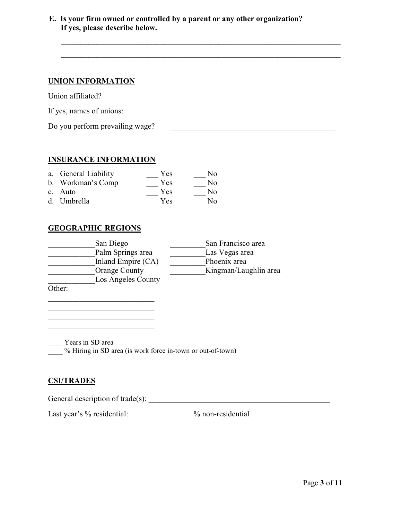**E. Is your firm owned or controlled by a parent or any other organization? If yes, please describe below.**

**\_\_\_\_\_\_\_\_\_\_\_\_\_\_\_\_\_\_\_\_\_\_\_\_\_\_\_\_\_\_\_\_\_\_\_\_\_\_\_\_\_\_\_\_\_\_\_\_\_\_\_\_\_\_\_\_\_\_\_\_\_\_\_\_\_\_\_\_\_\_\_ \_\_\_\_\_\_\_\_\_\_\_\_\_\_\_\_\_\_\_\_\_\_\_\_\_\_\_\_\_\_\_\_\_\_\_\_\_\_\_\_\_\_\_\_\_\_\_\_\_\_\_\_\_\_\_\_\_\_\_\_\_\_\_\_\_\_\_\_\_\_\_**

### **UNION INFORMATION**

Union affiliated? \_\_\_\_\_\_\_\_\_\_\_\_\_\_\_\_\_\_\_\_\_\_\_

If yes, names of unions:

Do you perform prevailing wage? \_\_\_\_\_\_\_\_\_\_\_\_\_\_\_\_\_\_\_\_\_\_\_\_\_\_\_\_\_\_\_\_\_\_\_\_\_\_\_\_\_\_

### **INSURANCE INFORMATION**

| a. General Liability | Yes | N <sub>0</sub> |
|----------------------|-----|----------------|
| b. Workman's Comp    | Yes | No             |
| c. Auto              | Yes | No             |
| d. Umbrella          | Yes | No             |

### **GEOGRAPHIC REGIONS**

| San Diego            | San Francisco area    |
|----------------------|-----------------------|
| Palm Springs area    | Las Vegas area        |
| Inland Empire (CA)   | Phoenix area          |
| <b>Orange County</b> | Kingman/Laughlin area |
| Los Angeles County   |                       |
|                      |                       |

Other:

\_\_\_\_ Years in SD area

 $\frac{1}{2}$ % Hiring in SD area (is work force in-town or out-of-town)

### **CSI/TRADES**

General description of trade(s):

\_\_\_\_\_\_\_\_\_\_\_\_\_\_\_\_\_\_\_\_\_\_\_\_\_\_\_ \_\_\_\_\_\_\_\_\_\_\_\_\_\_\_\_\_\_\_\_\_\_\_\_\_\_\_

Last year's % residential:\_\_\_\_\_\_\_\_\_\_\_\_\_\_ % non-residential\_\_\_\_\_\_\_\_\_\_\_\_\_\_\_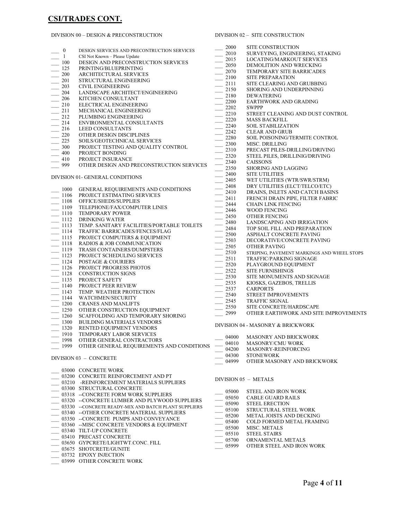# **CSI/TRADES CONT.**

### DIVISION 00 – DESIGN & PRECONSTRUCTION

\_\_\_ 03999 OTHER CONCRETE WORK

|                  |                                                       | 2000                  | SITE CONSTRUCTION                           |
|------------------|-------------------------------------------------------|-----------------------|---------------------------------------------|
| $\boldsymbol{0}$ | DESIGN SERVICES AND PRECONTRUCTION SERVICES           | 2010                  | SURVEYING, ENGINEERING, STAKING             |
| $\mathbf{1}$     | CSI Not Known - Please Update                         | 2015                  | LOCATING/MARKOUT SERVICES                   |
| 100              | DESIGN AND PRECONSTRUCTION SERVICES                   | 2050                  | DEMOLITION AND WRECKING                     |
| 125              | PRINTING/BLUEPRINTING                                 | 2070                  | TEMPORARY SITE BARRICADES                   |
| 200              | ARCHITECTURAL SERVICES<br>STRUCTURAL ENGINEERING      | 2100                  | <b>SITE PREPARATION</b>                     |
| 201              | <b>CIVIL ENGINEERING</b>                              | 2111                  | SITE CLEARING AND GRUBBING                  |
| 203              |                                                       | 2150                  | SHORING AND UNDERPINNING                    |
| 204              | LANDSCAPE ARCHITECT/ENGINEERING                       | 2180                  | <b>DEWATERING</b>                           |
| 206              | KITCHEN CONSULTANT                                    | 2200                  | EARTHWORK AND GRADING                       |
| 210              | ELECTRICAL ENGINEERING                                | 2202                  | <b>SWPPP</b>                                |
| 211              | MECHANICAL ENGINEERING                                | 2210                  | STREET CLEANING AND DUST CONTROL            |
| 212              | PLUMBING ENGINEERING                                  | 2220                  | <b>MASS BACKFILL</b>                        |
| 214              | ENVIRONMENTAL CONSULTANTS                             | 2240                  | <b>SOIL STABILIZATION</b>                   |
| 216              | LEED CONSULTANTS                                      | 2242                  | <b>CLEAR AND GRUB</b>                       |
| 220              | OTHER DESIGN DISCIPLINES                              | 2280                  | SOIL POISONING/TERMITE CONTROL              |
| 225              | SOILS/GEOTECHNICAL SERVICES                           | 2300                  | <b>MISC. DRILLING</b>                       |
| 300              | PROJECT TESTING AND QUALITY CONTROL                   | 2310                  | PRECAST PILES-DRILLING/DRIVING              |
| 400              | PROJECT BONDING                                       | 2320                  | STEEL PILES, DRILLINIG/DRIVING              |
| 410              | PROJECT INSURANCE                                     | 2340                  | <b>CAISSONS</b>                             |
| 999              | OTHER DESIGN AND PRECONSTRUCTION SERVICES             | 2350                  | <b>SHORING AND LAGGING</b>                  |
|                  |                                                       | 2400                  | <b>SITE UTILITIES</b>                       |
|                  | DIVISION 01- GENERAL CONDITIONS                       | 2405                  | WET UTILITIES (WTR/SWR/STRM)                |
|                  |                                                       | 2408                  | DRY UTILITIES (ELCT/TELCO/ETC)              |
| 1000             | GENERAL REQUIREMENTS AND CONDITIONS                   | 2410                  | DRAINS, INLETS AND CATCH BASINS             |
| 1106             | PROJECT ESTIMATING SERVICES                           | 2411                  | FRENCH DRAIN PIPE, FILTER FABRIC            |
| 1108             | OFFICE/SHEDS/SUPPLIES                                 | 2444                  | <b>CHAIN LINK FENCING</b>                   |
| 1109             | TELEPHONE/FAX/COMPUTER LINES                          | 2446                  | <b>WOOD FENCING</b>                         |
| 1110             | <b>TEMPORARY POWER</b>                                | 2450                  | OTHER FENCING                               |
| 1112             | <b>DRINKING WATER</b>                                 | 2480                  | LANDSCAPING AND IRRIGATION                  |
| 1113             | TEMP. SANITARY FACILITIES/PORTABLE TOILETS            | 2484                  | TOP SOIL FILL AND PREPARATION               |
| 1114             | TRAFFIC BARRICADES/FENCES/FLAG                        | 2500                  | ASPHALT CONCRETE PAVING                     |
| 1115             | PROJECT COMPUTERS & EQUIPMENT                         | $\frac{1}{1}$<br>2503 | DECORATIVE/CONCRETE PAVING                  |
| 1118             | RADIOS & JOB COMMUNICATION                            | 2505                  | <b>OTHER PAVING</b>                         |
| 1119             | TRASH CONTAINERS/DUMPSTERS                            | 2510                  | STRIPING, PAVEMENT MARKINGS AND WHEEL STOPS |
| 1123             | PROJECT SCHEDULING SERVICES                           | 2511                  | TRAFFIC/PARKING SIGNAGE                     |
| 1124             | POSTAGE & COURIERS                                    | 2520                  | PLAYGROUND EQUIPMENT                        |
| 1126             | PROJECT PROGRESS PHOTOS                               | 2522                  | <b>SITE FURNISHINGS</b>                     |
| 1128             | <b>CONSTRUCTION SIGNS</b>                             | 2530                  | SITE MONUMENTS AND SIGNAGE                  |
| 1135             | PROJECT SAFETY                                        | 2535                  | KIOSKS, GAZEBOS, TRELLIS                    |
| 1140             | PROJECT PEER REVIEW                                   | 2537                  | <b>CARPORTS</b>                             |
| 1143             | TEMP. WEATHER PROTECTION                              | 2540                  | <b>STREET IMPROVEMENTS</b>                  |
| 1144             | WATCHMEN/SECURITY                                     | 2545                  | <b>TRAFFIC SIGNAL</b>                       |
| 1200             | <b>CRANES AND MANLIFTS</b>                            | 2550                  | SITE CONCRETE/HARDSCAPE                     |
| 1250             | OTHER CONSTRUCTION EQUIPMENT                          | 2999                  | OTHER EARTHWORK AND SITE IMPROVEMENTS       |
| 1260             | SCAFFOLDING AND TEMPORARY SHORING                     |                       |                                             |
| 1300             | <b>BUILDING MATERIALS VENDORS</b>                     |                       | DIVISION 04 - MASONRY & BRICKWORK           |
| 1320             | RENTED EQUIPMENT VENDORS                              |                       |                                             |
| 1910             | TEMPORARY LABOR SERVICES                              |                       | 04000 MASONRY AND BRICKWORK                 |
| 1998             | OTHER GENERAL CONTRACTORS                             | 04010                 | MASONRY/CMU WORK                            |
| 1999             | OTHER GENERAL REQUIREMENTS AND CONDITIONS             | 04200                 | MASONRY-REINFORCING                         |
|                  |                                                       | 04300                 | <b>STONEWORK</b>                            |
|                  | DIVISION 03 - CONCRETE                                | 04999                 | OTHER MASONRY AND BRICKWORK                 |
|                  |                                                       |                       |                                             |
|                  | 03000 CONCRETE WORK                                   |                       |                                             |
|                  | 03200 CONCRETE REINFORCEMENT AND PT                   |                       | DIVISION 05 - METALS                        |
|                  | 03210 -REINFORCEMENT MATERIALS SUPPLIERS              |                       |                                             |
|                  | 03300 STRUCTURAL CONCRETE                             | 05000                 | STEEL AND IRON WORK                         |
|                  | 03318 --CONCRETE FORM WORK SUPPLIERS                  | 05050                 | <b>CABLE GUARD RAILS</b>                    |
|                  | 03320 -- CONCRETE LUMBER AND PLYWOOD SUPPLIERS        | 05090                 | <b>STEEL ERECTION</b>                       |
|                  | 03330 -- CONCRETE READY-MIX AND BATCH PLANT SUPPLIERS | 05100                 | STRUCTURAL STEEL WORK                       |
|                  | 03340 -- OTHER CONCRETE MATERIAL SUPPLIERS            | 05200                 | METAL JOISTS AND DECKING                    |
|                  | 03350 --CONCRETE PUMPS AND CONVEYANCE                 | 05400                 | COLD FORMED METAL FRAMING                   |
|                  | 03360 -- MISC CONCRETE VENDORS & EQUIPMENT            | 05500                 | MISC. METALS                                |
|                  | 03340 TILT-UP CONCRETE                                | 05510                 | <b>STEEL STAIRS</b>                         |
|                  | 03410 PRECAST CONCRETE                                | 05700                 | ORNAMENTAL METALS                           |
|                  | 03650 GYPCRETE/LIGHTWT.CONC. FILL                     | 05999                 | OTHER STEEL AND IRON WORK                   |
|                  | 03675 SHOTCRETE/GUNITE                                |                       |                                             |
|                  | 03732 EPOXY INJECTION                                 |                       |                                             |

DIVISION 02 – SITE CONSTRUCTION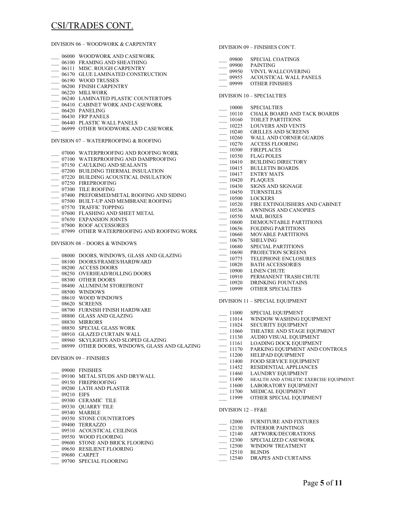### CSI/TRADES CONT.

|                          | DIVISION 06 – WOODWORK & CARPENTRY                                                  |                                                                                                                                                                                                       | DIVISION 09 - FINISHES CON'T.                       |
|--------------------------|-------------------------------------------------------------------------------------|-------------------------------------------------------------------------------------------------------------------------------------------------------------------------------------------------------|-----------------------------------------------------|
|                          | 06000 WOODWORK AND CASEWORK                                                         | $- 09800$                                                                                                                                                                                             | SPECIAL COATINGS                                    |
|                          | 06100 FRAMING AND SHEATHING                                                         | $- 09900$                                                                                                                                                                                             | PAINTING                                            |
|                          | 06111 MISC. ROUGH CARPENTRY                                                         |                                                                                                                                                                                                       | __ 09950 VINYL WALLCOVERING                         |
|                          | 06170 GLUE LAMINATED CONSTRUCTION                                                   | $-$ 09955                                                                                                                                                                                             | ACOUSTICAL WALL PANE                                |
|                          | 06190 WOOD TRUSSES                                                                  | 09999                                                                                                                                                                                                 | <b>OTHER FINISHES</b>                               |
|                          | 06200 FINISH CARPENTRY<br>06220 MILLWORK                                            |                                                                                                                                                                                                       |                                                     |
|                          |                                                                                     |                                                                                                                                                                                                       | DIVISION 10 - SPECIALTIES                           |
| $\mathcal{L}$            | 06240 LAMINATED PLASTIC COUNTERTOPS<br>06410 CABINET WORK AND CASEWORK              |                                                                                                                                                                                                       |                                                     |
|                          | 06420 PANELING                                                                      | $- 10000$                                                                                                                                                                                             | SPECIALTIES                                         |
|                          | 06430 FRP PANELS                                                                    | $-$ 10110                                                                                                                                                                                             | CHALK BOARD AND TACK                                |
| $\overline{\phantom{a}}$ | 06440 PLASTIC WALL PANELS                                                           | $-10160$                                                                                                                                                                                              | <b>TOILET PARTITIONS</b>                            |
|                          | 06999 OTHER WOODWORK AND CASEWORK                                                   |                                                                                                                                                                                                       | <b>LOUVERS AND VENTS</b>                            |
|                          |                                                                                     |                                                                                                                                                                                                       | <b>GRILLES AND SCREENS</b>                          |
|                          | DIVISION 07 – WATERPROOFING & ROOFING                                               |                                                                                                                                                                                                       | WALL AND CORNER GUAF                                |
|                          |                                                                                     |                                                                                                                                                                                                       | <b>ACCESS FLOORING</b>                              |
|                          | 07000 WATERPROOFING AND ROOFING WORK                                                |                                                                                                                                                                                                       | <b>FIREPLACES</b>                                   |
|                          | 07100 WATERPROOFING AND DAMPROOFING                                                 |                                                                                                                                                                                                       | <b>FLAG POLES</b>                                   |
|                          | 07150 CAULKING AND SEALANTS                                                         |                                                                                                                                                                                                       | <b>BUILDING DIRECTORY</b><br><b>BULLETIN BOARDS</b> |
|                          | __ 07200 BUILDING THERMAL INSULATION                                                | $\begin{array}{r} -10160 \ \hline 10225 \ \hline 10240 \ \hline 10260 \ \hline 10270 \ \hline 10300 \ \hline 10350 \ \hline 10410 \ \hline 10415 \ \hline 10417 \end{array}$<br>$\frac{10415}{10417}$ | ENTRY MATS                                          |
|                          | $\qquad \qquad$ 07220 $\qquad$ BUILDING ACOUSTICAL INSULATION                       | $-$ 10420                                                                                                                                                                                             | <b>PLAQUES</b>                                      |
|                          | 07250 FIREPROOFING                                                                  | $\frac{10430}{2}$                                                                                                                                                                                     | <b>SIGNS AND SIGNAGE</b>                            |
|                          | 07300 TILE ROOFING                                                                  | $-10450$                                                                                                                                                                                              | <b>TURNSTILES</b>                                   |
|                          | $\begin{array}{c}\n 07400 \text{ PREFORMED/METAL ROOTING AND SIDING}\n \end{array}$ | $- 10500$                                                                                                                                                                                             | <b>LOCKERS</b>                                      |
|                          | 07500 BUILT-UP AND MEMBRANE ROOFING                                                 | $-$ 10520                                                                                                                                                                                             | <b>FIRE EXTINGUISHERS AND</b>                       |
| $\overline{\phantom{0}}$ | 07570 TRAFFIC TOPPING<br>07600 FLASHING AND SHEET METAL                             | $-$ 10536                                                                                                                                                                                             | <b>AWNINGS AND CANOPIES</b>                         |
|                          | 07650 EXPANSION JOINTS                                                              | $\frac{10550}{2}$                                                                                                                                                                                     | <b>MAIL BOXES</b>                                   |
|                          | 07800 ROOF ACCESSORIES                                                              | $- 10600$                                                                                                                                                                                             | DEMOUNTABLE PARTITIO                                |
|                          | 07999 OTHER WATERPROOFING AND ROOFING WORK                                          | $-10656$                                                                                                                                                                                              | FOLDING PARTITIONS                                  |
|                          |                                                                                     | $\underline{\hspace{1cm}} 10660$<br>$\underline{\hspace{1cm}} 10670$                                                                                                                                  | <b>MOVABLE PARTITIONS</b>                           |
|                          | DIVISION 08 – DOORS & WINDOWS                                                       |                                                                                                                                                                                                       | <b>SHELVING</b>                                     |
|                          |                                                                                     | $\underbrace{-\  \  \, }_{10690}^{10680}$                                                                                                                                                             | <b>SPECIAL PARTITIONS</b>                           |
|                          | 08000 DOORS, WINDOWS, GLASS AND GLAZING                                             |                                                                                                                                                                                                       | PROJECTION SCREENS                                  |
|                          | 08100 DOORS/FRAMES/HARDWARD                                                         | $- 10775$<br>$- 10820$                                                                                                                                                                                | TELEPHONE ENCLOSURES<br><b>BATH ACCESSORIES</b>     |
|                          | 08200 ACCESS DOORS                                                                  | $- 10900$                                                                                                                                                                                             | LINEN CHUTE                                         |
|                          | 08250 OVERHEAD/ROLLING DOORS                                                        | $-10910$                                                                                                                                                                                              | PERMANENT TRASH CHUT                                |
|                          | 08300 OTHER DOORS                                                                   | $-10920$                                                                                                                                                                                              | DRINKING FOUNTAINS                                  |
|                          | 08400 ALUMINUM STOREFRONT                                                           | 10999                                                                                                                                                                                                 | <b>OTHER SPECIALTIES</b>                            |
|                          | 08500 WINDOWS                                                                       |                                                                                                                                                                                                       |                                                     |
|                          | 08610 WOOD WINDOWS<br>08620 SCREENS                                                 |                                                                                                                                                                                                       | <b>DIVISION 11 - SPECIAL EQUIPMENT</b>              |
|                          | 08700 FURNISH FINISH HARDWARE                                                       |                                                                                                                                                                                                       |                                                     |
| $\overline{\phantom{a}}$ | 08800 GLASS AND GLAZING                                                             |                                                                                                                                                                                                       | 11000 SPECIAL EQUIPMENT                             |
|                          | 08830 MIRRORS                                                                       | $-$ 11014                                                                                                                                                                                             | <b>WINDOW WASHING EQUIP</b>                         |
|                          | _08850 SPECIAL GLASS WORK                                                           | $-$ 11024                                                                                                                                                                                             | <b>SECURITY EQUIPMENT</b>                           |
|                          | 08910 GLAZED CURTAIN WALL                                                           | $-11060$                                                                                                                                                                                              | THEATRE AND STAGE EQU                               |
|                          | 08960 SKYLIGHTS AND SLOPED GLAZING                                                  | 11130                                                                                                                                                                                                 | AUDIO VISUAL EQUIPMEN                               |
|                          | 08999 OTHER DOORS, WINDOWS, GLASS AND GLAZING                                       | 11161                                                                                                                                                                                                 | <b>LOADING DOCK EQUIPME</b>                         |
|                          |                                                                                     | $-11170$<br>11200                                                                                                                                                                                     | PARKING EQUIPMENT ANI                               |
|                          | DIVISION 09 – FINISHES                                                              | $-11400$                                                                                                                                                                                              | HELIPAD EQUIPMENT<br>FOOD SERVICE EQUIPMEN          |
|                          |                                                                                     | $-$ 11452                                                                                                                                                                                             | RESIDENTIAL APPLIANCE:                              |
|                          | 09000 FINISHES                                                                      | $-11460$                                                                                                                                                                                              | LAUNDRY EQUIPMENT                                   |
|                          | 09100 METAL STUDS AND DRYWALL                                                       | $-11490$                                                                                                                                                                                              | HEALTH AND ATHLETIC EXER                            |
|                          | 09150 FIREPROOFING                                                                  | $-11600$                                                                                                                                                                                              | <b>LABORATORY EQUIPMENT</b>                         |
|                          | 09200 LATH AND PLASTER                                                              | 11700                                                                                                                                                                                                 | MEDICAL EQUIPMENT                                   |
| 09210 EIFS               |                                                                                     | 11999                                                                                                                                                                                                 | OTHER SPECIAL EQUIPME                               |
|                          | 09300 CERAMIC TILE                                                                  |                                                                                                                                                                                                       |                                                     |
|                          | 09330 QUARRY TILE                                                                   | DIVISION 12 - FF&E                                                                                                                                                                                    |                                                     |
|                          | 09340 MARBLE                                                                        |                                                                                                                                                                                                       |                                                     |
|                          | 09350 STONE COUNTERTOPS<br>09400 TERRAZZO                                           | $-12000$                                                                                                                                                                                              | <b>FURNITURE AND FIXTURE</b>                        |
|                          | 09510 ACOUSTICAL CEILINGS                                                           | 12130                                                                                                                                                                                                 | <b>INTERIOR PAINTINGS</b>                           |
|                          | 09550 WOOD FLOORING                                                                 | 12140                                                                                                                                                                                                 | <b>ARTWORK/DECORATIONS</b>                          |
|                          |                                                                                     |                                                                                                                                                                                                       | $12300$ SPECIALIZED CASEWORK                        |

- \_\_\_ 09600 STONE AND BRICK FLOORING
- $\equiv$  09650 RESILIENT FLOORING
- $= 09680$  CARPET
- \_\_ 09700 SPECIAL FLOORING

| 09800 | <b>SPECIAL COATINGS</b> |  |
|-------|-------------------------|--|
|       |                         |  |

- ERING
- LL PANELS
- 
- <sub>N</sub>D TACK BOARDS<br><sub>NNS</sub>
- 
- ENTS
- REENS
- NER GUARDS<br>NG
- 
- 
- TORY<br>DS
- $AGE$
- HERS AND CABINET
- ANOPIES
- **PARTITIONS**
- IONS
- TIONS
- $ONS$
- EENS
- LOSURES<br>.IES
- $\Delta$ SH CHUTE
- TAINS<br>TES
- 

#### MENT

- $ENT$
- NG EQUIPMENT
- MENT
- AGE EQUPMENT
- QUIPMENT
- EQUIPMENT
- IENT AND CONTROLS
- IENT
- QUIPMENT
- PLIANCES
- MENT
- ETIC EXERCISE EQUIPMENT
- $_\mathrm{UIPMENT}$
- $AENT$
- EQUIPMENT
- 
- FIXTURES
- INGS<br>RATIONS
- 
- \_\_\_ 12300 SPECIALIZED CASEWORK
- \_\_\_ 12500 WINDOW TREATMENT
- \_\_\_ 12510 BLINDS
- \_\_\_ 12540 DRAPES AND CURTAINS
- 
- 
- 
- 
- 
- 
- 
- 
- 
- 
- 
- 
- 
- 
- 
- 
- 
- 
- 
- 
-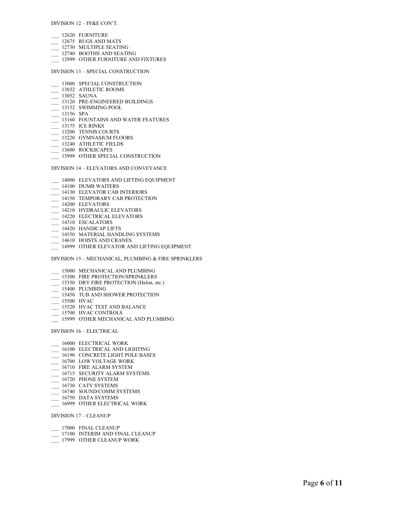#### DIVISION 12 – FF&E CON'T.

- \_\_\_ 12620 FURNITURE
- \_\_\_ 12675 RUGS AND MATS
- \_\_\_ 12730 MULTIPLE SEATING
- \_\_\_ 12740 BOOTHS AND SEATING
- $\equiv$  12999 OTHER FURNITURE AND FIXTURES

#### DIVISION 13 – SPECIAL CONSTRUCTION

- \_\_\_ 13000 SPECIAL CONSTRUCTION
- \_\_ 13032 ATHLETIC ROOMS
- \_\_\_ 13052 SAUNA
- \_\_\_ 13120 PRE-ENGINEERED BUILDINGS
- \_\_\_ 13152 SWIMMING POOL
- \_\_\_ 13156 SPA
- \_\_\_ 13160 FOUNTAINS AND WATER FEATURES
- $\frac{13175}{2}$  ICE RINKS
- \_\_\_ 13200 TENNIS COURTS
- \_\_\_ 13220 GYMNASIUM FLOORS
- \_\_\_ 13240 ATHLETIC FIELDS
- \_\_\_ 13600 ROCKSCAPES
- $\equiv$  13999 OTHER SPECIAL CONSTRUCTION

#### DIVISION 14 – ELEVATORS AND CONVEYANCE

- $\frac{14000}{14000}$  ELEVATORS AND LIFTING EQUIPMENT
- \_\_\_ 14100 DUMB WAITERS
- \_\_\_ 14130 ELEVATOR CAB INTERIORS
- <sup>14150</sup> TEMPORARY CAB PROTECTION
- $\frac{1}{2}$  14200 ELEVATORS
- \_\_\_ 14210 HYDRAULIC ELEVATORS
- \_\_\_ 14220 ELECTRICAL ELEVATORS
- $\frac{2}{\sqrt{14310}}$  ESCALATORS
- \_\_\_ 14420 HANDICAP LIFTS
- \_\_\_ 14550 MATERIAL HANDLING SYSTEMS
- $\frac{14610}{2}$  HOISTS AND CRANES
- \_\_\_ 14999 OTHER ELEVATOR AND LIFTING EQUIPMENT

#### DIVISION 15 – MECHANICAL, PLUMBING & FIRE SPRINKLERS

- \_\_\_ 15000 MECHANICAL AND PLUMBING
- \_\_\_ 15300 FIRE PROTECTION/SPRINKLERS
- \_\_\_ 15350 DRY FIRE PROTECTION (Halon, etc.)
- $\frac{15400}{2}$  PLUMBING
- \_\_\_ 15450 TUB AND SHOWER PROTECTION
- \_\_\_ 15500 HVAC
- \_\_\_ 15520 HVAC TEST AND BALANCE
- \_\_ 15700 HVAC CONTROLS
- \_\_\_ 15999 OTHER MECHANICAL AND PLUMBING

DIVISION 16 – ELECTRICAL

- \_\_\_ 16000 ELECTRICAL WORK
- \_\_\_ 16100 ELECTRICAL AND LIGHTING
- \_\_\_ 16190 CONCRETE LIGHT POLE BASES
- \_\_\_ 16700 LOW VOLTAGE WORK
- $-$  16710 FIRE ALARM SYSTEM
- $\overline{\phantom{0}}$  16715 SECURITY ALARM SYSTEMS
- \_\_\_ 16720 PHONE SYSTEM
- $-$  16730 CATV SYSTEMS
- $-$  16740 SOUND/COMM SYSTEMS
- $-$  16750 DATA SYSTEMS
- \_\_ 16999 OTHER ELECTRICAL WORK

DIVISION 17 – CLEANUP

- $-$  17000 FINAL CLEANUP
- \_\_\_ 17100 INTERIM AND FINAL CLEANUP
- \_\_\_ 17999 OTHER CLEANUP WORK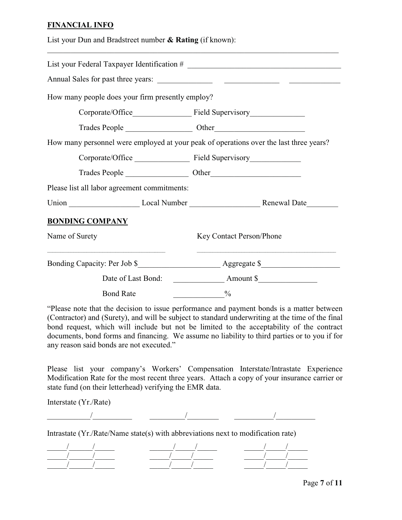### **FINANCIAL INFO**

| List your Dun and Bradstreet number $\&$ Rating (if known):<br>,我们也不能在这里的人,我们也不能在这里的人,我们也不能在这里的人,我们也不能在这里的人,我们也不能在这里的人,我们也不能在这里的人,我们也不能在这里的人,我们也 |                                                                                           |
|--------------------------------------------------------------------------------------------------------------------------------------------------|-------------------------------------------------------------------------------------------|
|                                                                                                                                                  |                                                                                           |
|                                                                                                                                                  |                                                                                           |
| How many people does your firm presently employ?                                                                                                 |                                                                                           |
|                                                                                                                                                  |                                                                                           |
|                                                                                                                                                  |                                                                                           |
| How many personnel were employed at your peak of operations over the last three years?                                                           |                                                                                           |
|                                                                                                                                                  |                                                                                           |
|                                                                                                                                                  |                                                                                           |
| Please list all labor agreement commitments:                                                                                                     |                                                                                           |
|                                                                                                                                                  |                                                                                           |
| <b>BONDING COMPANY</b>                                                                                                                           |                                                                                           |
| Name of Surety                                                                                                                                   | Key Contact Person/Phone                                                                  |
|                                                                                                                                                  | the control of the control of the control of the control of the control of the control of |
|                                                                                                                                                  |                                                                                           |
| <b>Bond Rate</b>                                                                                                                                 | $\frac{0}{0}$                                                                             |

"Please note that the decision to issue performance and payment bonds is a matter between (Contractor) and (Surety), and will be subject to standard underwriting at the time of the final bond request, which will include but not be limited to the acceptability of the contract documents, bond forms and financing. We assume no liability to third parties or to you if for any reason said bonds are not executed."

Please list your company's Workers' Compensation Interstate/Intrastate Experience Modification Rate for the most recent three years. Attach a copy of your insurance carrier or state fund (on their letterhead) verifying the EMR data.

Interstate (Yr./Rate)

 $\overline{a}$  ,  $\overline{a}$  ,  $\overline{a}$  ,  $\overline{a}$  ,  $\overline{a}$  ,  $\overline{a}$  ,  $\overline{a}$  ,  $\overline{a}$  ,  $\overline{a}$  ,  $\overline{a}$  ,  $\overline{a}$  ,  $\overline{a}$  ,  $\overline{a}$  ,  $\overline{a}$  ,  $\overline{a}$  ,  $\overline{a}$  ,  $\overline{a}$  ,  $\overline{a}$  ,  $\overline{a}$  ,  $\overline{a}$  ,

Intrastate (Yr./Rate/Name state(s) with abbreviations next to modification rate)

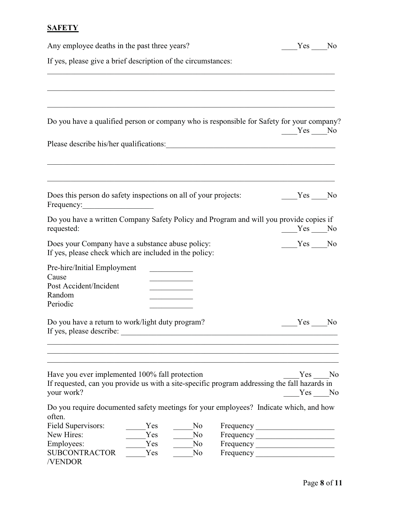# **SAFETY**

| Any employee deaths in the past three years?                                                                                                                                                                                                                     | Yes No              |
|------------------------------------------------------------------------------------------------------------------------------------------------------------------------------------------------------------------------------------------------------------------|---------------------|
| If yes, please give a brief description of the circumstances:                                                                                                                                                                                                    |                     |
|                                                                                                                                                                                                                                                                  |                     |
| Do you have a qualified person or company who is responsible for Safety for your company?                                                                                                                                                                        | $Yes$ No            |
|                                                                                                                                                                                                                                                                  |                     |
| Does this person do safety inspections on all of your projects:<br>Frequency:                                                                                                                                                                                    | Yes No              |
| Do you have a written Company Safety Policy and Program and will you provide copies if<br>requested:                                                                                                                                                             | $Yes$ No            |
| Does your Company have a substance abuse policy:<br>If yes, please check which are included in the policy:                                                                                                                                                       | $Yes$ No            |
| Pre-hire/Initial Employment<br>Cause<br>Post Accident/Incident<br>the control of the control of the<br>Random<br>Periodic                                                                                                                                        |                     |
| Do you have a return to work/light duty program?<br>If yes, please describe:                                                                                                                                                                                     | Yes<br>No           |
| Have you ever implemented 100% fall protection<br>If requested, can you provide us with a site-specific program addressing the fall hazards in<br>your work?                                                                                                     | Yes<br>No<br>Yes No |
| Do you require documented safety meetings for your employees? Indicate which, and how<br>often.<br>Field Supervisors:<br>Yes<br>No<br>New Hires:<br>Yes<br>No<br>Employees:<br>Yes<br>N <sub>o</sub><br><b>SUBCONTRACTOR</b><br>Yes<br>N <sub>0</sub><br>/VENDOR |                     |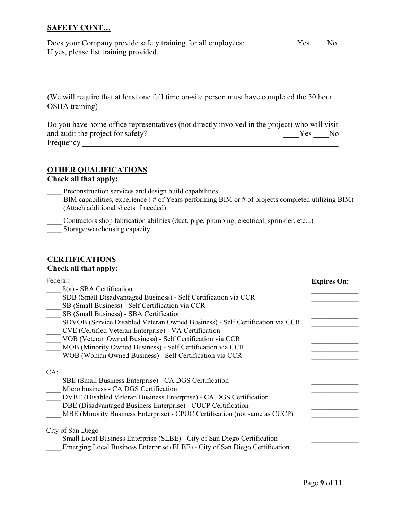## **SAFETY CONT…**

| Does your Company provide safety training for all employees: | Yes | No. |
|--------------------------------------------------------------|-----|-----|
| If yes, please list training provided.                       |     |     |

\_\_\_\_\_\_\_\_\_\_\_\_\_\_\_\_\_\_\_\_\_\_\_\_\_\_\_\_\_\_\_\_\_\_\_\_\_\_\_\_\_\_\_\_\_\_\_\_\_\_\_\_\_\_\_\_\_\_\_\_\_\_\_\_\_\_\_\_\_\_\_\_\_

\_\_\_\_\_\_\_\_\_\_\_\_\_\_\_\_\_\_\_\_\_\_\_\_\_\_\_\_\_\_\_\_\_\_\_\_\_\_\_\_\_\_\_\_\_\_\_\_\_\_\_\_\_\_\_\_\_\_\_\_\_\_\_\_\_\_\_\_\_\_\_\_\_ \_\_\_\_\_\_\_\_\_\_\_\_\_\_\_\_\_\_\_\_\_\_\_\_\_\_\_\_\_\_\_\_\_\_\_\_\_\_\_\_\_\_\_\_\_\_\_\_\_\_\_\_\_\_\_\_\_\_\_\_\_\_\_\_\_\_\_\_\_\_\_\_\_

(We will require that at least one full time on-site person must have completed the 30 hour OSHA training)

Do you have home office representatives (not directly involved in the project) who will visit and audit the project for safety? The set of safety and audit the project for safety? Frequency  $\frac{1}{\sqrt{2}}$ 

### **OTHER QUALIFICATIONS**

**Check all that apply:**

- Preconstruction services and design build capabilities
- BIM capabilities, experience ( $\#$  of Years performing BIM or  $\#$  of projects completed utilizing BIM) (Attach additional sheets if needed)
- \_\_\_\_ Contractors shop fabrication abilities (duct, pipe, plumbing, electrical, sprinkler, etc...)
- Storage/warehousing capacity

### **CERTIFICATIONS Check all that apply:**

| Federal:<br>8(a) - SBA Certification<br>SDB (Small Disadvantaged Business) - Self Certification via CCR<br>SB (Small Business) - Self Certification via CCR<br>SB (Small Business) - SBA Certification<br>SDVOB (Service Disabled Veteran Owned Business) - Self Certification via CCR<br>CVE (Certified Veteran Enterprise) - VA Certification<br>VOB (Veteran Owned Business) - Self Certification via CCR<br>MOB (Minority Owned Business) - Self Certification via CCR<br>WOB (Woman Owned Business) - Self Certification via CCR | <b>Expires On:</b> |
|---------------------------------------------------------------------------------------------------------------------------------------------------------------------------------------------------------------------------------------------------------------------------------------------------------------------------------------------------------------------------------------------------------------------------------------------------------------------------------------------------------------------------------------|--------------------|
| CA:<br>SBE (Small Business Enterprise) - CA DGS Certification<br>Micro business - CA DGS Certification<br>DVBE (Disabled Veteran Business Enterprise) - CA DGS Certification<br>DBE (Disadvantaged Business Enterprise) - CUCP Certification<br>MBE (Minority Business Enterprise) - CPUC Certification (not same as CUCP)                                                                                                                                                                                                            |                    |
| City of San Diego<br>Small Local Business Enterprise (SLBE) - City of San Diego Certification<br>Emerging Local Business Enterprise (ELBE) - City of San Diego Certification                                                                                                                                                                                                                                                                                                                                                          |                    |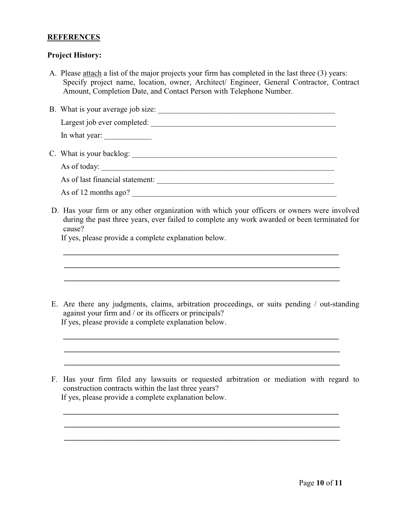### **REFERENCES**

### **Project History:**

- A. Please attach a list of the major projects your firm has completed in the last three (3) years: Specify project name, location, owner, Architect/ Engineer, General Contractor, Contract Amount, Completion Date, and Contact Person with Telephone Number.
- B. What is your average job size:

Largest job ever completed: \_\_\_\_\_\_\_\_\_\_\_\_\_\_\_\_\_\_\_\_\_\_\_\_\_\_\_\_\_\_\_\_\_\_\_\_\_\_\_\_\_\_\_\_\_\_\_ In what year: C. What is your backlog: \_\_\_\_\_\_\_\_\_\_\_\_\_\_\_\_\_\_\_\_\_\_\_\_\_\_\_\_\_\_\_\_\_\_\_\_\_\_\_\_\_\_\_\_\_\_\_\_\_\_\_\_

As of today: As of last financial statement: \_\_\_\_\_\_\_\_\_\_\_\_\_\_\_\_\_\_\_\_\_\_\_\_\_\_\_\_\_\_\_\_\_\_\_\_\_\_\_\_\_\_\_\_\_

As of 12 months ago?

D. Has your firm or any other organization with which your officers or owners were involved during the past three years, ever failed to complete any work awarded or been terminated for cause?

**\_\_\_\_\_\_\_\_\_\_\_\_\_\_\_\_\_\_\_\_\_\_\_\_\_\_\_\_\_\_\_\_\_\_\_\_\_\_\_\_\_\_\_\_\_\_\_\_\_\_\_\_\_\_\_\_\_\_\_\_\_\_\_\_\_\_\_\_\_\_ \_\_\_\_\_\_\_\_\_\_\_\_\_\_\_\_\_\_\_\_\_\_\_\_\_\_\_\_\_\_\_\_\_\_\_\_\_\_\_\_\_\_\_\_\_\_\_\_\_\_\_\_\_\_\_\_\_\_\_\_\_\_\_\_\_\_\_\_\_\_ \_\_\_\_\_\_\_\_\_\_\_\_\_\_\_\_\_\_\_\_\_\_\_\_\_\_\_\_\_\_\_\_\_\_\_\_\_\_\_\_\_\_\_\_\_\_\_\_\_\_\_\_\_\_\_\_\_\_\_\_\_\_\_\_\_\_\_\_\_\_**

If yes, please provide a complete explanation below.

E. Are there any judgments, claims, arbitration proceedings, or suits pending / out-standing against your firm and / or its officers or principals? If yes, please provide a complete explanation below.

**\_\_\_\_\_\_\_\_\_\_\_\_\_\_\_\_\_\_\_\_\_\_\_\_\_\_\_\_\_\_\_\_\_\_\_\_\_\_\_\_\_\_\_\_\_\_\_\_\_\_\_\_\_\_\_\_\_\_\_\_\_\_\_\_\_\_\_\_\_\_ \_\_\_\_\_\_\_\_\_\_\_\_\_\_\_\_\_\_\_\_\_\_\_\_\_\_\_\_\_\_\_\_\_\_\_\_\_\_\_\_\_\_\_\_\_\_\_\_\_\_\_\_\_\_\_\_\_\_\_\_\_\_\_\_\_\_\_\_\_\_ \_\_\_\_\_\_\_\_\_\_\_\_\_\_\_\_\_\_\_\_\_\_\_\_\_\_\_\_\_\_\_\_\_\_\_\_\_\_\_\_\_\_\_\_\_\_\_\_\_\_\_\_\_\_\_\_\_\_\_\_\_\_\_\_\_\_\_\_\_\_**

F. Has your firm filed any lawsuits or requested arbitration or mediation with regard to construction contracts within the last three years? If yes, please provide a complete explanation below.

**\_\_\_\_\_\_\_\_\_\_\_\_\_\_\_\_\_\_\_\_\_\_\_\_\_\_\_\_\_\_\_\_\_\_\_\_\_\_\_\_\_\_\_\_\_\_\_\_\_\_\_\_\_\_\_\_\_\_\_\_\_\_\_\_\_\_\_\_\_\_ \_\_\_\_\_\_\_\_\_\_\_\_\_\_\_\_\_\_\_\_\_\_\_\_\_\_\_\_\_\_\_\_\_\_\_\_\_\_\_\_\_\_\_\_\_\_\_\_\_\_\_\_\_\_\_\_\_\_\_\_\_\_\_\_\_\_\_\_\_\_ \_\_\_\_\_\_\_\_\_\_\_\_\_\_\_\_\_\_\_\_\_\_\_\_\_\_\_\_\_\_\_\_\_\_\_\_\_\_\_\_\_\_\_\_\_\_\_\_\_\_\_\_\_\_\_\_\_\_\_\_\_\_\_\_\_\_\_\_\_\_**